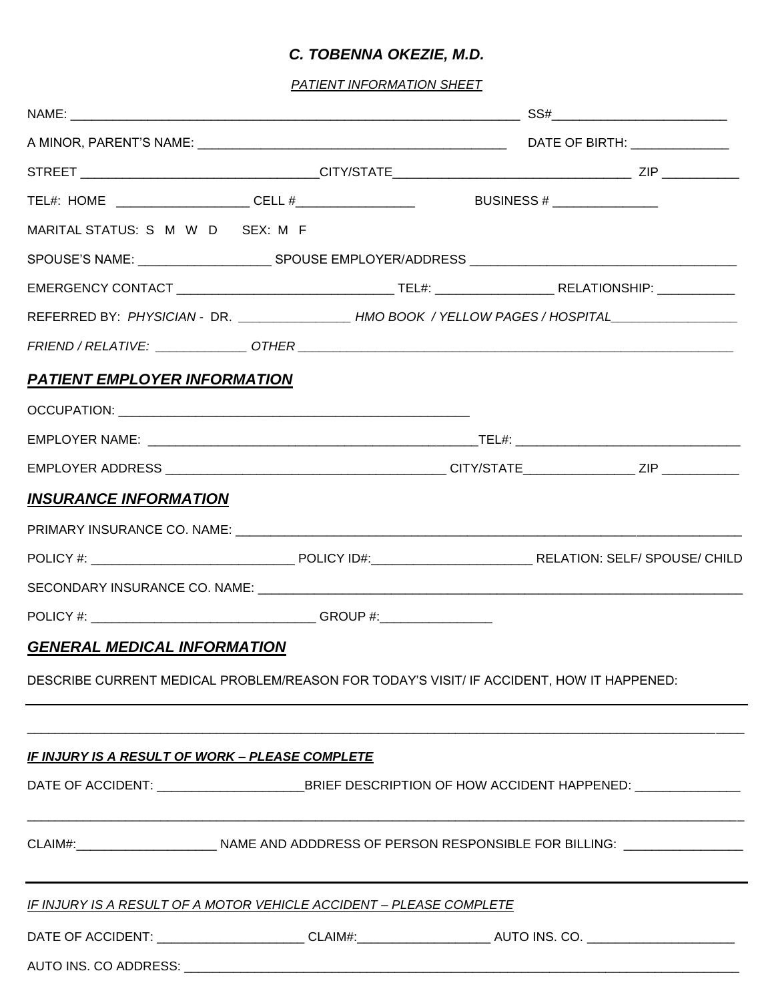## *C. TOBENNA OKEZIE, M.D.*

*PATIENT INFORMATION SHEET*

| MARITAL STATUS: S M W D SEX: M F                                                                               |  |  |  |  |
|----------------------------------------------------------------------------------------------------------------|--|--|--|--|
|                                                                                                                |  |  |  |  |
|                                                                                                                |  |  |  |  |
| REFERRED BY: PHYSICIAN - DR. ________________HMO BOOK / YELLOW PAGES / HOSPITAL____________________            |  |  |  |  |
|                                                                                                                |  |  |  |  |
| <b>PATIENT EMPLOYER INFORMATION</b>                                                                            |  |  |  |  |
|                                                                                                                |  |  |  |  |
|                                                                                                                |  |  |  |  |
|                                                                                                                |  |  |  |  |
| <b>INSURANCE INFORMATION</b>                                                                                   |  |  |  |  |
|                                                                                                                |  |  |  |  |
|                                                                                                                |  |  |  |  |
| SECONDARY INSURANCE CO. NAME: University of the contract of the second and the second of the contract of the s |  |  |  |  |
|                                                                                                                |  |  |  |  |
| <b>GENERAL MEDICAL INFORMATION</b>                                                                             |  |  |  |  |
| DESCRIBE CURRENT MEDICAL PROBLEM/REASON FOR TODAY'S VISIT/ IF ACCIDENT, HOW IT HAPPENED:                       |  |  |  |  |
|                                                                                                                |  |  |  |  |
| <b>IF INJURY IS A RESULT OF WORK - PLEASE COMPLETE</b>                                                         |  |  |  |  |
|                                                                                                                |  |  |  |  |
|                                                                                                                |  |  |  |  |
| CLAIM#:________________________________NAME AND ADDDRESS OF PERSON RESPONSIBLE FOR BILLING: __________________ |  |  |  |  |
|                                                                                                                |  |  |  |  |
| <b>IF INJURY IS A RESULT OF A MOTOR VEHICLE ACCIDENT - PLEASE COMPLETE</b>                                     |  |  |  |  |
| DATE OF ACCIDENT: ________________________CLAIM#:________________________AUTO INS. CO. ______________________  |  |  |  |  |
|                                                                                                                |  |  |  |  |